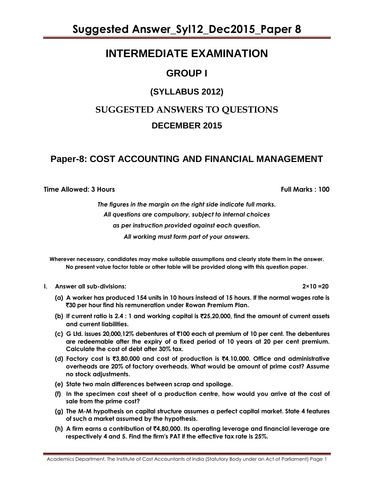### **INTERMEDIATE EXAMINATION**

### **GROUP I**

### **(SYLLABUS 2012)**

### **SUGGESTED ANSWERS TO QUESTIONS DECEMBER 2015**

### **Paper-8: COST ACCOUNTING AND FINANCIAL MANAGEMENT**

**Time Allowed: 3 Hours Full Marks : 100**

*The figures in the margin on the right side indicate full marks. All questions are compulsory, subject to internal choices as per instruction provided against each question. All working must form part of your answers.*

**Wherever necessary, candidates may make suitable assumptions and clearly state them in the answer. No present value factor table or other table will be provided along with this question paper.**

**I. Answer all sub-divisions: 2×10 =20**

- **(a) A worker has produced 154 units in 10 hours instead of 15 hours. If the normal wages rate is**  `**30 per hour find his remuneration under Rowan Premium Plan.**
- **(b) If current ratio is 2.4 : 1 and working capital is** `**25,20,000, find the amount of current assets and current liabilities.**
- **(c) G Ltd. issues 20,000,12% debentures of** `**100 each at premium of 10 per cent. The debentures are redeemable after the expiry of a fixed period of 10 years at 20 per cent premium. Calculate the cost of debt after 30% tax.**
- **(d) Factory cost is** `**3,80,000 and cost of production is** `**4,10,000. Office and administrative overheads are 20% of factory overheads. What would be amount of prime cost? Assume no stock adjustments.**
- **(e) State two main differences between scrap and spoilage.**
- **(f) In the specimen cost sheet of a production centre, how would you arrive at the cost of sale from the prime cost?**
- **(g) The M-M hypothesis on capital structure assumes a perfect capital market. State 4 features of such a market assumed by the hypothesis.**
- **(h) A firm earns a contribution of** `**4,80,000. Its operating leverage and financial leverage are respectively 4 and 5. Find the firm's PAT if the effective tax rate is 25%.**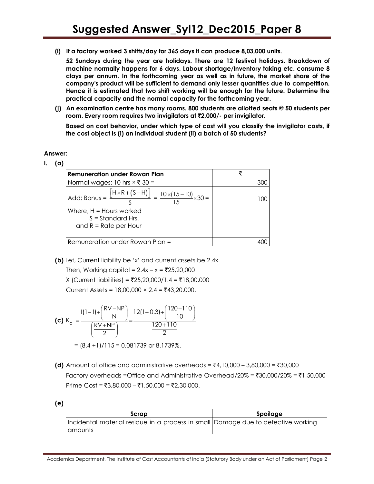**(i) If a factory worked 3 shifts/day for 365 days it can produce 8,03,000 units.**

**52 Sundays during the year are holidays. There are 12 festival holidays. Breakdown of machine normally happens for 6 days. Labour shortage/Inventory taking etc. consume 8 clays per annum. In the forthcoming year as well as in future, the market share of the company's product will be sufficient to demand only lesser quantities due to competition. Hence it is estimated that two shift working will be enough for the future. Determine the practical capacity and the normal capacity for the forthcoming year.**

**(j) An examination centre has many rooms. 800 students are allotted seats @ 50 students per room. Every room requires two invigilators at** `**2,000/- per invigilator.**

**Based on cost behavior, under which type of cost will you classify the invigilator costs, if the cost object is (i) an individual student (ii) a batch of 50 students?**

**Answer:**

**I. (a)** 

| Remuneration under Rowan Plan                                                                                         | ₹     |
|-----------------------------------------------------------------------------------------------------------------------|-------|
| Normal wages: 10 hrs $\times$ ₹ 30 =                                                                                  | 300   |
| Add: Bonus = $\frac{[H \times R + (S-H)]}{S} = \frac{10 \times (15-10)}{15} \times 30 =$<br>Where, $H =$ Hours worked | 1 O O |
| $S =$ Standard Hrs.                                                                                                   |       |
| and $R = Rate$ per Hour                                                                                               |       |
| Remuneration under Rowan Plan =                                                                                       |       |

**(b)** Let, Current liability be 'x' and current assets be 2.4x

Then, Working capital =  $2.4x - x = ₹25,20,000$  $X$  (Current liabilities) = ₹25,20,000/1.4 = ₹18,00,000 Current Assets =  $18,00,000 \times 2.4 = ₹43,20,000$ .

(c) 
$$
K_d = \frac{I(1-t) + \left(\frac{RV - NP}{N}\right)}{\left(\frac{RV + NP}{2}\right)} = \frac{12(1-0.3) + \left(\frac{120-110}{10}\right)}{\frac{120+110}{2}}
$$
  
= (8.4 + 1)/115 = 0.081739 or 8.1739%.

**(d)** Amount of office and administrative overheads =  $\bar{z}4,10,000 - 3,80,000 = 30,000$ Factory overheads =Office and Administrative Overhead/20% =  $\text{\textdegree{3}}30,000/20\%$  =  $\text{\textdegree{1}}1,50,000$ Prime Cost = ₹3,80,000 – ₹1,50,000 = ₹2,30,000.

**<sup>(</sup>e)** 

| Scrap                                                                             | Spoilage |
|-----------------------------------------------------------------------------------|----------|
| Incidental material residue in a process in small Damage due to defective working |          |
| <b>C</b> amounts                                                                  |          |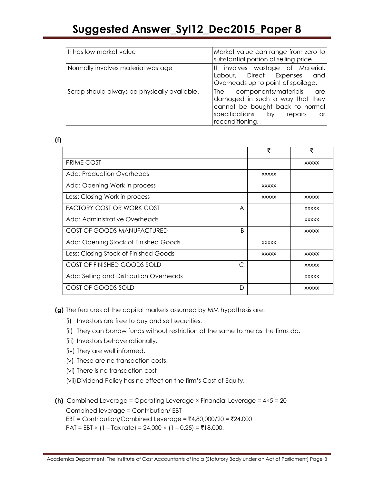| It has low market value                      | Market value can range from zero to<br>substantial portion of selling price                                                                                        |
|----------------------------------------------|--------------------------------------------------------------------------------------------------------------------------------------------------------------------|
| Normally involves material wastage           | involves wastage of Material,<br>lt.<br>Direct Expenses<br>and<br>Labour, Labour<br>Overheads up to point of spoilage.                                             |
| Scrap should always be physically available. | The components/materials are<br>damaged in such a way that they<br>cannot be bought back to normal<br>specifications by<br>repairs<br><b>or</b><br>reconditioning. |

#### **(f)**

|                                         | ₹            | ₹            |
|-----------------------------------------|--------------|--------------|
| <b>PRIME COST</b>                       |              | <b>XXXXX</b> |
| Add: Production Overheads               | <b>XXXXX</b> |              |
| Add: Opening Work in process            | <b>XXXXX</b> |              |
| Less: Closing Work in process           | <b>XXXXX</b> | <b>XXXXX</b> |
| FACTORY COST OR WORK COST<br>A          |              | <b>XXXXX</b> |
| Add: Administrative Overheads           |              | <b>XXXXX</b> |
| COST OF GOODS MANUFACTURED<br>B         |              | <b>XXXXX</b> |
| Add: Opening Stock of Finished Goods    | <b>XXXXX</b> |              |
| Less: Closing Stock of Finished Goods   | <b>XXXXX</b> | <b>XXXXX</b> |
| COST OF FINISHED GOODS SOLD<br>⊂        |              | <b>XXXXX</b> |
| Add: Selling and Distribution Overheads |              | <b>XXXXX</b> |
| COST OF GOODS SOLD<br>D                 |              | <b>XXXXX</b> |

**(g)** The features of the capital markets assumed by MM hypothesis are:

- (i) Investors are free to buy and sell securities.
- (ii) They can borrow funds without restriction at the same to me as the firms do.
- (iii) Investors behave rationally.
- (iv) They are well informed.
- (v) These are no transaction costs.
- (vi) There is no transaction cost
- (vii) Dividend Policy has no effect on the firm's Cost of Equity.

**(h)** Combined Leverage = Operating Leverage × Financial Leverage = 4×5 = 20 Combined leverage = Contribution/ EBT EBT = Contribution/Combined Leverage =  $\overline{(}4,80,000/20)$  =  $\overline{(}24,000)$  $PATH = EBT \times (1 - Tax rate) = 24,000 \times (1 - 0.25) = ₹18,000.$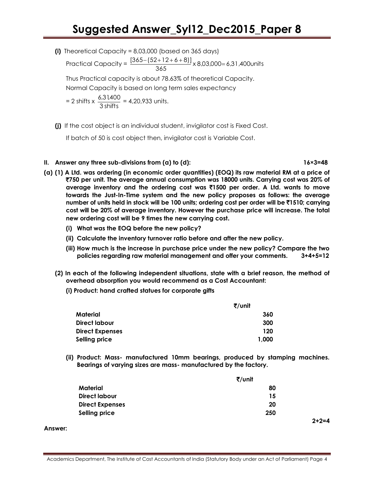**(i)** Theoretical Capacity = 8,03,000 (based on 365 days)

Practical Capacity =  $\frac{1000(121+2+0+0)j}{365} \times 8,03,000 = 6,31,400$ units  $\frac{[365 - (52 + 12 + 6 + 8)]}{245} \times 8,03,000 =$ 

Thus Practical capacity is about 78.63% of theoretical Capacity.

Normal Capacity is based on long term sales expectancy

 $= 2$  shifts  $\times \frac{0.3488}{3}$  shifts  $\frac{6,31,400}{2}$  = 4,20,933 units.

**(j)** If the cost object is an individual student, invigilator cost is Fixed Cost.

If batch of 50 is cost object then, invigilator cost is Variable Cost.

#### **II. Answer any three sub-divisions from (a) to (d): 16×3=48**

- **(a) (1) A Ltd. was ordering (in economic order quantities) (EOQ) its raw material RM at a price of**  `**750 per unit. The average annual consumption was 18000 units. Carrying cost was 20% of average inventory and the ordering cost was** `**1500 per order. A Ltd. wants to move towards the Just-In-Time system and the new policy proposes as follows: the average number of units held in stock will be 100 units; ordering cost per order will be** `**1510; carrying cost will be 20% of average inventory. However the purchase price will increase. The total new ordering cost will be 9 times the new carrying cost.**
	- **(i) What was the EOQ before the new policy?**
	- **(ii) Calculate the inventory turnover ratio before and after the new policy.**
	- **(iii) How much is the increase in purchase price under the new policy? Compare the two policies regarding raw material management and offer your comments. 3+4+5=12**
	- **(2) In each of the following independent situations, state with a brief reason, the method of overhead absorption you would recommend as a Cost Accountant:**
		- **(i) Product: hand crafted statues for corporate gifts**

| ₹/unit                 |       |
|------------------------|-------|
| Material               | 360   |
| Direct labour          | 300   |
| <b>Direct Expenses</b> | 120   |
| Selling price          | 1,000 |

**(ii) Product: Mass- manufactured 10mm bearings, produced by stamping machines. Bearings of varying sizes are mass- manufactured by the factory.**

|                        | ₹/unit |  |
|------------------------|--------|--|
| Material               | 80     |  |
| Direct labour          | 15     |  |
| <b>Direct Expenses</b> | 20     |  |
| Selling price          | 250    |  |

**Answer:**

**2+2=4**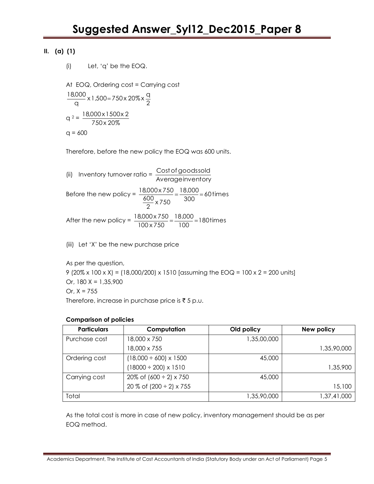#### **II. (a) (1)**

(i) Let, 'q' be the EOQ.

At EOQ, Ordering cost = Carrying cost 2  $\frac{1}{\alpha}$  x 1,500 = 750 x 20% x  $\frac{q}{2}$  $\frac{18,000}{2}$  x 1,500 =  $q^2 = \frac{10,000 \times 1000}{750 \times 20\%}$ 18,000 x 1500 x 2

 $q = 600$ 

Therefore, before the new policy the EOQ was 600 units.

(ii) Inventory turnover ratio =  $\frac{\cos\theta}{\cos\theta}$ <br>Averageinventory Costofgoodssold Before the new policy =  $\frac{10,000 \times 750}{600} = \frac{10,000}{300} = 60$  times 18,000  $\frac{88}{2}$  x 750 600  $\frac{18,000 \times 750}{1000} = \frac{18,000}{200} =$ After the new policy =  $\frac{10,000 \times 750}{100 \times 750} = \frac{10,000}{100} = 180$  times 18,000 100 x 750  $\frac{18,000 \times 750}{100} = \frac{18,000}{100} =$ 

(iii) Let 'X' be the new purchase price

As per the question,

9 (20% x 100 x X) = (18,000/200) x 1510 [assuming the EOQ = 100 x 2 = 200 units] Or,  $180 X = 1,35,900$ Or,  $X = 755$ Therefore, increase in purchase price is  $\bar{z}$  5 p.u.

#### **Comparison of policies**

| <b>Particulars</b> | Computation                       | Old policy  | New policy  |
|--------------------|-----------------------------------|-------------|-------------|
| Purchase cost      | 18,000 x 750                      | 1,35,00,000 |             |
|                    | 18,000 x 755                      |             | 1,35,90,000 |
| Ordering cost      | $(18,000 \div 600) \times 1500$   | 45,000      |             |
|                    | $(18000 \div 200) \times 1510$    |             | 1,35,900    |
| Carrying cost      | 20% of $(600 \div 2) \times 750$  | 45,000      |             |
|                    | 20 % of $(200 \div 2) \times 755$ |             | 15,100      |
| Total              |                                   | 1,35,90,000 | 1,37,41,000 |

As the total cost is more in case of new policy, inventory management should be as per EOQ method.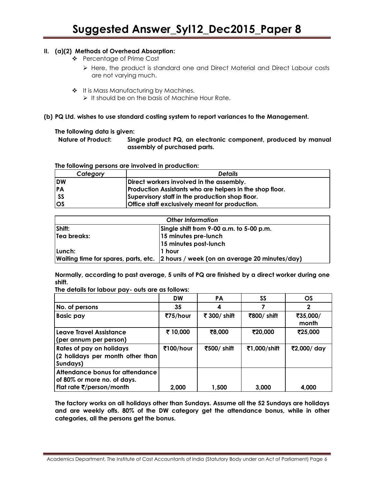#### **II. (a)(2) Methods of Overhead Absorption:**

- ❖ Percentage of Prime Cost
	- $\triangleright$  Here, the product is standard one and Direct Material and Direct Labour costs are not varying much.
- \* It is Mass Manufacturing by Machines.
	- $\triangleright$  It should be on the basis of Machine Hour Rate.

#### **(b) PQ Ltd. wishes to use standard costing system to report variances to the Management.**

#### **The following data is given:**

**Nature of Product: Single product PQ, an electronic component, produced by manual assembly of purchased parts.**

**The following persons are involved in production:**

| Category   | <b>Details</b>                                           |
|------------|----------------------------------------------------------|
| <b>IDW</b> | Direct workers involved in the assembly.                 |
| <b>PA</b>  | Production Assistants who are helpers in the shop floor. |
| l SS       | Supervisory staff in the production shop floor.          |
| <b>IOS</b> | <b>Office staff exclusively meant for production.</b>    |

| <b>Other Information</b> |                                                                                    |  |  |
|--------------------------|------------------------------------------------------------------------------------|--|--|
| Shift:                   | Single shift from 9-00 a.m. to 5-00 p.m.                                           |  |  |
| Tea breaks:              | 15 minutes pre-lunch                                                               |  |  |
|                          | 15 minutes post-lunch                                                              |  |  |
| Lunch:                   | l1 hour                                                                            |  |  |
|                          | Waiting time for spares, parts, etc. 2 hours / week (on an average 20 minutes/day) |  |  |

**Normally, according to past average, 5 units of PQ are finished by a direct worker during one shift.**

**The details for labour pay- outs are as follows:**

|                                                                                            | <b>DW</b> | PA           | SS           | <b>OS</b>         |
|--------------------------------------------------------------------------------------------|-----------|--------------|--------------|-------------------|
| No. of persons                                                                             | 35        | 4            |              | 2                 |
| <b>Basic pay</b>                                                                           | ₹75/hour  | ₹ 300/ shift | ₹800/ shift  | ₹35,000/<br>month |
| Leave Travel Assistance<br>(per annum per person)                                          | ₹ 10,000  | ₹8,000       | ₹20,000      | ₹25,000           |
| Rates of pay on holidays<br>(2 holidays per month other than)<br>Sundays)                  | ₹100/hour | ₹500/ shift  | ₹1,000/shift | ₹2,000/ day       |
| Attendance bonus for attendance<br>of 80% or more no. of days.<br>Flat rate ₹/person/month | 2,000     | 1,500        | 3,000        | 4,000             |

**The factory works on all holidays other than Sundays. Assume all the 52 Sundays are holidays and are weekly offs. 80% of the DW category get the attendance bonus, while in other categories, all the persons get the bonus.**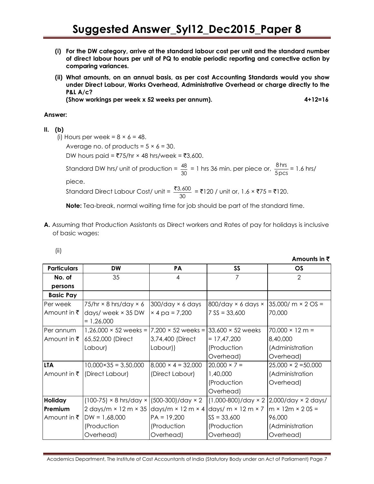- **(i) For the DW category, arrive at the standard labour cost per unit and the standard number of direct labour hours per unit of PQ to enable periodic reporting and corrective action by comparing variances.**
- **(ii) What amounts, on an annual basis, as per cost Accounting Standards would you show under Direct Labour, Works Overhead, Administrative Overhead or charge directly to the P&L A/c?**

**(Show workings per week x 52 weeks per annum). 4+12=16**

#### **Answer:**

#### **II. (b)**

(i) Hours per week =  $8 \times 6 = 48$ . Average no. of products =  $5 \times 6 = 30$ . DW hours paid =  $\overline{575}$ /hr × 48 hrs/week =  $\overline{53}$ ,600. Standard DW hrs/ unit of production =  $\frac{48}{11}$  $\frac{48}{30}$  = 1 hrs 36 min. per piece or,  $\frac{8 \text{ hrs}}{5 \text{ pc}}$  $\frac{0+13}{5}$  = 1.6 hrs/ piece. Standard Direct Labour Cost/ unit =  $\frac{$3,600}{200}$  $\frac{3000}{30}$  = ₹120 / unit or, 1.6 × ₹75 = ₹120.

**Note:** Tea-break, normal waiting time for job should be part of the standard time.

**A.** Assuming that Production Assistants as Direct workers and Rates of pay for holidays is inclusive of basic wages:

**Amounts in ₹** 

| <b>Particulars</b>     | DW                                                                 | PA                         | <b>SS</b>                                                                                                | $\overline{\text{OS}}$                  |
|------------------------|--------------------------------------------------------------------|----------------------------|----------------------------------------------------------------------------------------------------------|-----------------------------------------|
| No. of                 | 35                                                                 | 4                          | 7                                                                                                        | $\mathcal{P}$                           |
| persons                |                                                                    |                            |                                                                                                          |                                         |
| <b>Basic Pay</b>       |                                                                    |                            |                                                                                                          |                                         |
| Per week               | 75/hr $\times$ 8 hrs/day $\times$ 6                                | $300$ /day $\times$ 6 days | 800/day $\times$ 6 days $\times$                                                                         | $35,000/m \times 2 OS =$                |
| Amount in ₹            | days/ week $\times$ 35 DW                                          | $× 4$ pa = 7,200           | $7$ SS = 33,600                                                                                          | 70,000                                  |
|                        | $= 1,26,000$                                                       |                            |                                                                                                          |                                         |
| Per annum              | $1,26,000 \times 52$ weeks =                                       | $7,200 \times 52$ weeks =  | $33,600 \times 52$ weeks                                                                                 | $70,000 \times 12 \text{ m} =$          |
| Amount in $\bar{\tau}$ | 65,52,000 (Direct                                                  | 3,74,400 (Direct           | $= 17,47,200$                                                                                            | 8,40,000                                |
|                        | Labour)                                                            | Labour))                   | (Production                                                                                              | (Administration                         |
|                        |                                                                    |                            | Overhead)                                                                                                | Overhead)                               |
| <b>LTA</b>             | $10,000 \times 35 = 3,50,000$                                      | $8,000 \times 4 = 32,000$  | $20,000 \times 7 =$                                                                                      | $25,000 \times 2 = 50,000$              |
|                        | Amount in ₹ (Direct Labour)                                        | (Direct Labour)            | 1,40,000                                                                                                 | (Administration                         |
|                        |                                                                    |                            | (Production                                                                                              | Overhead)                               |
|                        |                                                                    |                            | Overhead)                                                                                                |                                         |
| <b>Holiday</b>         | $(100-75) \times 8$ hrs/day $\times$                               | $(500-300)/day \times 2$   |                                                                                                          | (1,000-800)/day × 2 2,000/day × 2 days/ |
| Premium                | 2 days/m $\times$ 12 m $\times$ 35 days/m $\times$ 12 m $\times$ 4 |                            | $\frac{1}{\text{days/m}} \times 12 \text{m} \times 7 \text{ m} \times 12 \text{m} \times 20 \text{ s} =$ |                                         |
| Amount in $\bar{\tau}$ | $DW = 1,68,000$                                                    | $PA = 19,200$              | $SS = 33,600$                                                                                            | 96,000                                  |
|                        | (Production                                                        | (Production                | (Production                                                                                              | (Administration                         |
|                        | Overhead)                                                          | Overhead)                  | Overhead)                                                                                                | Overhead)                               |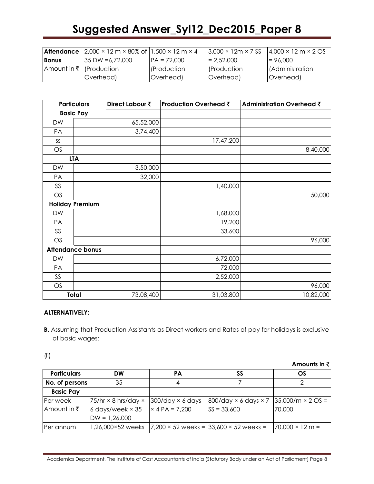|              | <b>Attendance</b> $ 2,000 \times 12 \text{ m} \times 80\% \text{ of }  1,500 \times 12 \text{ m} \times 4$ |               | $3,000 \times 12m \times 7$ SS | $4,000 \times 12 \text{ m} \times 2 \text{ OS}$ |
|--------------|------------------------------------------------------------------------------------------------------------|---------------|--------------------------------|-------------------------------------------------|
| <b>Bonus</b> | $135 \text{ DW} = 6.72.000$                                                                                | $PA = 72,000$ | $= 2,52,000$                   | $= 96,000$                                      |
|              | Amount in ₹   (Production                                                                                  | (Production   | <b>Production</b>              | (Administration                                 |
|              | Overhead)                                                                                                  | Overhead)     | Overhead)                      | Overhead)                                       |

| <b>Particulars</b> |                         | Direct Labour ₹ | Production Overhead ₹ | <b>Administration Overhead ₹</b> |
|--------------------|-------------------------|-----------------|-----------------------|----------------------------------|
| <b>Basic Pay</b>   |                         |                 |                       |                                  |
| <b>DW</b>          |                         | 65,52,000       |                       |                                  |
| PA                 |                         | 3,74,400        |                       |                                  |
| SS                 |                         |                 | 17,47,200             |                                  |
| OS                 |                         |                 |                       | 8,40,000                         |
|                    | <b>LTA</b>              |                 |                       |                                  |
| DW                 |                         | 3,50,000        |                       |                                  |
| PA                 |                         | 32,000          |                       |                                  |
| SS                 |                         |                 | 1,40,000              |                                  |
| OS                 |                         |                 |                       | 50,000                           |
|                    | <b>Holiday Premium</b>  |                 |                       |                                  |
| <b>DW</b>          |                         |                 | 1,68,000              |                                  |
| PA                 |                         |                 | 19,200                |                                  |
| SS                 |                         |                 | 33,600                |                                  |
| OS                 |                         |                 |                       | 96,000                           |
|                    | <b>Attendance bonus</b> |                 |                       |                                  |
| DW                 |                         |                 | 6,72,000              |                                  |
| PA                 |                         |                 | 72,000                |                                  |
| SS                 |                         |                 | 2,52,000              |                                  |
| OS                 |                         |                 |                       | 96,000                           |
|                    | Total                   | 73,08,400       | 31,03,800             | 10,82,000                        |

#### **ALTERNATIVELY:**

**B.** Assuming that Production Assistants as Direct workers and Rates of pay for holidays is exclusive of basic wages:

(ii)

**Amounts in** `

| <b>Particulars</b> | DW                               | PА                         | SS                                                   | OS                              |
|--------------------|----------------------------------|----------------------------|------------------------------------------------------|---------------------------------|
| No. of persons     | 35                               |                            |                                                      |                                 |
| <b>Basic Pay</b>   |                                  |                            |                                                      |                                 |
| Per week           | $175/hr \times 8 hrs/day \times$ | $300$ /day $\times$ 6 days | 800/day × 6 days × 7                                 | $35,000/m \times 2 OS =$        |
| Amount in ₹        | 6 days/week $\times$ 35          | $\times$ 4 PA = 7,200      | $SS = 33,600$                                        | 70,000                          |
|                    | $DW = 1,26,000$                  |                            |                                                      |                                 |
| IPer annum         | 1,26,000×52 weeks                |                            | $7,200 \times 52$ weeks = $33,600 \times 52$ weeks = | $170,000 \times 12 \text{ m} =$ |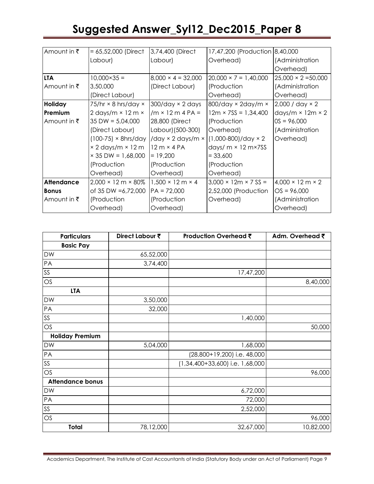| Amount in ₹            | $= 65,52,000$ (Direct                   | 3,74,400 (Direct                     | 17,47,200 (Production 8,40,000)  |                                      |
|------------------------|-----------------------------------------|--------------------------------------|----------------------------------|--------------------------------------|
|                        | Labour)                                 | Labour)                              | Overhead)                        | (Administration                      |
|                        |                                         |                                      |                                  | Overhead)                            |
| <b>LTA</b>             | $10,000 \times 35 =$                    | $8,000 \times 4 = 32,000$            | $20,000 \times 7 = 1,40,000$     | $25,000 \times 2 = 50,000$           |
| Amount in $\bar{\tau}$ | 3,50,000                                | (Direct Labour)                      | (Production                      | (Administration                      |
|                        | (Direct Labour)                         |                                      | Overhead)                        | Overhead)                            |
| Holiday                | 75/hr $\times$ 8 hrs/day $\times$       | $300$ /day $\times$ 2 days           | $800$ /day × 2day/m ×            | $2,000 / day \times 2$               |
| Premium                | 2 days/m $\times$ 12 m $\times$         | $/m \times 12 m 4 PA =$              | $12m \times 7SS = 1,34,400$      | days/m $\times$ 12m $\times$ 2       |
| Amount in $\bar{\tau}$ | $35\text{ DW} = 5,04,000$               | 28,800 (Direct                       | (Production                      | $OS = 96,000$                        |
|                        | (Direct Labour)                         | Labour) (500-300)                    | Overhead)                        | (Administration                      |
|                        | $(100-75) \times 8$ hrs/day             | /day $\times$ 2 days/m $\times$      | $(1,000-800)/day \times 2$       | Overhead)                            |
|                        | $\times$ 2 days/m $\times$ 12 m         | $12m \times 4PA$                     | days/ $m \times 12 m \times 7SS$ |                                      |
|                        | $\times$ 35 DW = 1,68,000               | $= 19,200$                           | $= 33,600$                       |                                      |
|                        | (Production                             | (Production                          | (Production                      |                                      |
|                        | Overhead)                               | Overhead)                            | Overhead)                        |                                      |
| <b>Attendance</b>      | $2,000 \times 12 \text{ m} \times 80\%$ | $1,500 \times 12 \text{ m} \times 4$ | $3,000 \times 12m \times 7SS =$  | $4,000 \times 12 \text{ m} \times 2$ |
| <b>Bonus</b>           | of 35 DW $=6,72,000$                    | $PA = 72,000$                        | 2,52,000 (Production             | $OS = 96,000$                        |
| Amount in $\bar{\tau}$ | (Production                             | (Production                          | Overhead)                        | (Administration                      |
|                        | Overhead)                               | Overhead)                            |                                  | Overhead)                            |

| <b>Particulars</b>      | Direct Labour ₹ | Production Overhead ₹             | Adm. Overhead ₹ |
|-------------------------|-----------------|-----------------------------------|-----------------|
| <b>Basic Pay</b>        |                 |                                   |                 |
| <b>DW</b>               | 65,52,000       |                                   |                 |
| PA                      | 3,74,400        |                                   |                 |
| $SS$                    |                 | 17,47,200                         |                 |
| OS                      |                 |                                   | 8,40,000        |
| <b>LTA</b>              |                 |                                   |                 |
| <b>DW</b>               | 3,50,000        |                                   |                 |
| PA                      | 32,000          |                                   |                 |
| SS                      |                 | 1,40,000                          |                 |
| OS                      |                 |                                   | 50,000          |
| <b>Holiday Premium</b>  |                 |                                   |                 |
| DW                      | 5,04,000        | 1,68,000                          |                 |
| PA                      |                 | (28,800+19,200) i.e. 48,000       |                 |
| SS                      |                 | $(1,34,400+33,600)$ i.e. 1,68,000 |                 |
| OS                      |                 |                                   | 96,000          |
| <b>Attendance bonus</b> |                 |                                   |                 |
| <b>DW</b>               |                 | 6,72,000                          |                 |
| PA                      |                 | 72,000                            |                 |
| SS                      |                 | 2,52,000                          |                 |
| OS                      |                 |                                   | 96,000          |
| Total                   | 78,12,000       | 32,67,000                         | 10,82,000       |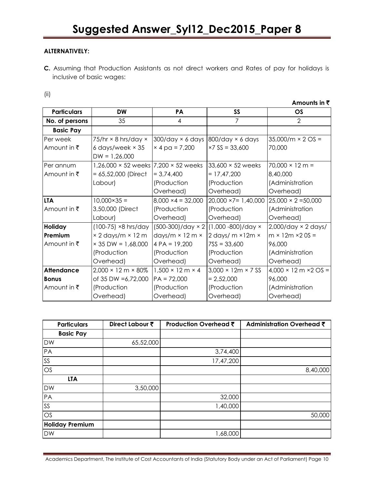#### **ALTERNATIVELY:**

**C.** Assuming that Production Assistants as not direct workers and Rates of pay for holidays is inclusive of basic wages:

**Amounts in ₹** 

| <b>Particulars</b> | <b>DW</b>                               | <b>PA</b>                            | SS                             | <b>OS</b>                                         |
|--------------------|-----------------------------------------|--------------------------------------|--------------------------------|---------------------------------------------------|
| No. of persons     | 35                                      | 4                                    | 7                              | $\mathcal{P}$                                     |
| <b>Basic Pay</b>   |                                         |                                      |                                |                                                   |
| Per week           | $75/hr \times 8 hrs/day \times$         | $300$ /day $\times$ 6 days           | $800$ /day $\times$ 6 days     | $35,000/m \times 2 OS =$                          |
| Amount in ₹        | 6 days/week $\times$ 35                 | $× 4$ pa = 7,200                     | $×7$ SS = 33,600               | 70,000                                            |
|                    | $DW = 1,26,000$                         |                                      |                                |                                                   |
| Per annum          | $1,26,000 \times 52$ weeks              | 7,200 × 52 weeks                     | $33,600 \times 52$ weeks       | $70,000 \times 12 \text{ m} =$                    |
| Amount in ₹        | $= 65,52,000$ (Direct                   | $= 3,74,400$                         | $= 17,47,200$                  | 8,40,000                                          |
|                    | Labour)                                 | (Production                          | (Production                    | (Administration                                   |
|                    |                                         | Overhead)                            | Overhead)                      | Overhead)                                         |
| <b>LTA</b>         | $10,000 \times 35 =$                    | $8,000 \times 4 = 32,000$            | $20,000 \times 7 = 1,40,000$   | $25,000 \times 2 = 50,000$                        |
| Amount in ₹        | 3,50,000 (Direct                        | (Production                          | (Production                    | (Administration                                   |
|                    | Labour)                                 | Overhead)                            | Overhead)                      | Overhead)                                         |
| Holiday            | $(100-75)$ ×8 hrs/day                   | $(500-300)/day \times 2$             | (1,000 -800)/day ×             | $2,000$ /day × 2 days/                            |
| Premium            | $\times$ 2 days/m $\times$ 12 m         | days/m $\times$ 12 m $\times$        | 2 days/ $m \times 12m \times$  | $m \times 12m \times 20S =$                       |
| Amount in ₹        | $\times$ 35 DW = 1,68,000               | $4 PA = 19,200$                      | $7SS = 33,600$                 | 96,000                                            |
|                    | (Production                             | (Production                          | (Production                    | (Administration                                   |
|                    | Overhead)                               | Overhead)                            | Overhead)                      | Overhead)                                         |
| <b>Attendance</b>  | $2,000 \times 12 \text{ m} \times 80\%$ | $1,500 \times 12 \text{ m} \times 4$ | $3,000 \times 12m \times 7$ SS | $4,000 \times 12 \text{ m} \times 2 \text{ OS} =$ |
| <b>Bonus</b>       | of 35 DW =6,72,000                      | $PA = 72,000$                        | $= 2,52,000$                   | 96,000                                            |
| Amount in ₹        | (Production                             | (Production                          | (Production                    | (Administration                                   |
|                    | Overhead)                               | Overhead)                            | Overhead)                      | Overhead)                                         |

| <b>Particulars</b>     | Direct Labour ₹ | Production Overhead ₹ | Administration Overhead ₹ |
|------------------------|-----------------|-----------------------|---------------------------|
| <b>Basic Pay</b>       |                 |                       |                           |
| <b>DW</b>              | 65,52,000       |                       |                           |
| PA                     |                 | 3,74,400              |                           |
| SS                     |                 | 17,47,200             |                           |
| OS                     |                 |                       | 8,40,000                  |
| <b>LTA</b>             |                 |                       |                           |
| <b>DW</b>              | 3,50,000        |                       |                           |
| PA                     |                 | 32,000                |                           |
| SS                     |                 | 1,40,000              |                           |
| OS                     |                 |                       | 50,000                    |
| <b>Holiday Premium</b> |                 |                       |                           |
| <b>DW</b>              |                 | 1,68,000              |                           |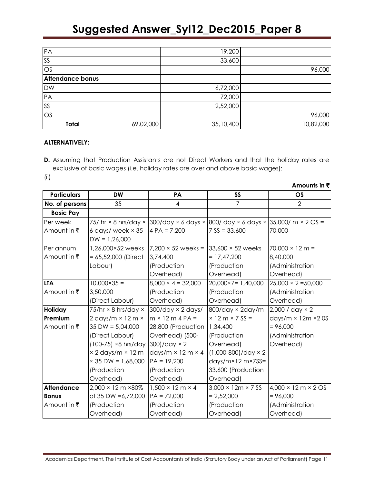| PA                      |           | 19,200    |           |
|-------------------------|-----------|-----------|-----------|
| <b>SS</b>               |           | 33,600    |           |
| OS                      |           |           | 96,000    |
| <b>Attendance bonus</b> |           |           |           |
| <b>DW</b>               |           | 6,72,000  |           |
| PA                      |           | 72,000    |           |
| SS                      |           | 2,52,000  |           |
| OS                      |           |           | 96,000    |
| Total                   | 69,02,000 | 35,10,400 | 10,82,000 |

#### **ALTERNATIVELY:**

**D.** Assuming that Production Assistants are not Direct Workers and that the holiday rates are exclusive of basic wages (i.e. holiday rates are over and above basic wages):

**Amounts in** `

(ii)

| <b>Particulars</b>     | <b>DW</b>                               | <b>PA</b>                            | <b>SS</b>                                                                            | OS                                              |
|------------------------|-----------------------------------------|--------------------------------------|--------------------------------------------------------------------------------------|-------------------------------------------------|
| No. of persons         | 35                                      | $\overline{4}$                       | $\overline{7}$                                                                       | $\overline{2}$                                  |
| <b>Basic Pay</b>       |                                         |                                      |                                                                                      |                                                 |
| Per week               |                                         |                                      | 75/ hr × 8 hrs/day ×   300/day × 6 days ×   800/ day × 6 days ×   35,000/ m × 2 OS = |                                                 |
| Amount in $\bar{\tau}$ | 6 days/ week $\times$ 35                | $4 PA = 7,200$                       | $7$ SS = 33,600                                                                      | 70,000                                          |
|                        | $DW = 1,26,000$                         |                                      |                                                                                      |                                                 |
| Per annum              | 1,26,000×52 weeks                       | $7,200 \times 52$ weeks =            | $33,600 \times 52$ weeks                                                             | $70,000 \times 12 \text{ m} =$                  |
| Amount in $\bar{\tau}$ | $= 65,52,000$ (Direct                   | 3,74,400                             | $= 17,47,200$                                                                        | 8,40,000                                        |
|                        | Labour)                                 | (Production                          | (Production                                                                          | (Administration                                 |
|                        |                                         | Overhead)                            | Overhead)                                                                            | Overhead)                                       |
| <b>LTA</b>             | $10,000 \times 35 =$                    | $8,000 \times 4 = 32,000$            | $20,000 \times 7 = 1,40,000$                                                         | $25,000 \times 2 = 50,000$                      |
| Amount in ₹            | 3,50,000                                | (Production                          | (Production                                                                          | (Administration                                 |
|                        | (Direct Labour)                         | Overhead)                            | Overhead)                                                                            | Overhead)                                       |
| Holiday                | 75/hr $\times$ 8 hrs/day $\times$       | $300$ /day $\times$ 2 days/          | 800/day × 2day/m                                                                     | $2,000 / day \times 2$                          |
| Premium                | 2 days/m $\times$ 12 m $\times$         | $m \times 12 m 4 PA =$               | $× 12 m × 7 SS =$                                                                    | days/m $\times$ 12m $\times$ 20S                |
| Amount in $\bar{\tau}$ | $35$ DW = 5,04,000                      | 28,800 (Production                   | 1,34,400                                                                             | $= 96,000$                                      |
|                        | (Direct Labour)                         | Overhead) (500-                      | (Production                                                                          | (Administration                                 |
|                        | $(100-75)$ ×8 hrs/day                   | $300$ /day $\times$ 2                | Overhead)                                                                            | Overhead)                                       |
|                        | × 2 days/m × 12 m                       | days/m $\times$ 12 m $\times$ 4      | $(1,000-800)/day \times 2$                                                           |                                                 |
|                        | $\times$ 35 DW = 1,68,000               | $PA = 19,200$                        | $days/m \times 12 m \times 7SS =$                                                    |                                                 |
|                        | (Production                             | (Production                          | 33,600 (Production                                                                   |                                                 |
|                        | Overhead)                               | Overhead)                            | Overhead)                                                                            |                                                 |
| <b>Attendance</b>      | $2,000 \times 12 \text{ m} \times 80\%$ | $1,500 \times 12 \text{ m} \times 4$ | $3,000 \times 12m \times 7$ SS                                                       | $4,000 \times 12 \text{ m} \times 2 \text{ OS}$ |
| <b>Bonus</b>           | of 35 DW = 6,72,000                     | $PA = 72,000$                        | $= 2,52,000$                                                                         | $= 96,000$                                      |
| Amount in $\bar{\tau}$ | (Production                             | (Production                          | (Production                                                                          | (Administration                                 |
|                        | Overhead)                               | Overhead)                            | Overhead)                                                                            | Overhead)                                       |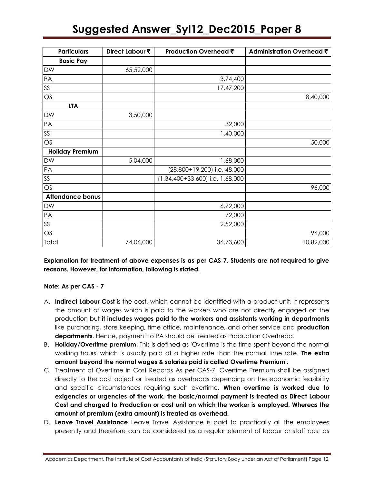| <b>Particulars</b>      | Direct Labour ₹ | Production Overhead ₹           | Administration Overhead ₹ |
|-------------------------|-----------------|---------------------------------|---------------------------|
| <b>Basic Pay</b>        |                 |                                 |                           |
| <b>DW</b>               | 65,52,000       |                                 |                           |
| PA                      |                 | 3,74,400                        |                           |
| $SS$                    |                 | 17,47,200                       |                           |
| OS                      |                 |                                 | 8,40,000                  |
| <b>LTA</b>              |                 |                                 |                           |
| DW                      | 3,50,000        |                                 |                           |
| PA                      |                 | 32,000                          |                           |
| <b>SS</b>               |                 | 1,40,000                        |                           |
| OS                      |                 |                                 | 50,000                    |
| <b>Holiday Premium</b>  |                 |                                 |                           |
| <b>DW</b>               | 5,04,000        | 1,68,000                        |                           |
| PA                      |                 | (28,800+19,200) i.e. 48,000     |                           |
| SS                      |                 | (1,34,400+33,600) i.e. 1,68,000 |                           |
| OS                      |                 |                                 | 96,000                    |
| <b>Attendance bonus</b> |                 |                                 |                           |
| <b>DW</b>               |                 | 6,72,000                        |                           |
| PA                      |                 | 72,000                          |                           |
| SS                      |                 | 2,52,000                        |                           |
| OS                      |                 |                                 | 96,000                    |
| Total                   | 74,06,000       | 36,73,600                       | 10,82,000                 |

**Explanation for treatment of above expenses is as per CAS 7. Students are not required to give reasons. However, for information, following is stated.**

#### **Note: As per CAS - 7**

- A. **Indirect Labour Cost** is the cost, which cannot be identified with a product unit. It represents the amount of wages which is paid to the workers who are not directly engaged on the production but **it includes wages paid to the workers and assistants working in departments** like purchasing, store keeping, time office, maintenance, and other service and **production departments**. Hence, payment to PA should be treated as Production Overhead.
- B. **Holiday/Overtime premium**: This is defined as 'Overtime is the time spent beyond the normal working hours' which is usually paid at a higher rate than the normal time rate. **The extra amount beyond the normal wages & salaries paid is called Overtime Premium'.**
- C. Treatment of Overtime in Cost Records As per CAS-7, Overtime Premium shall be assigned directly to the cost object or treated as overheads depending on the economic feasibility and specific circumstances requiring such overtime. **When overtime is worked due to exigencies or urgencies of the work, the basic/normal payment is treated as Direct Labour Cost and charged to Production or cost unit on which the worker is employed. Whereas the amount of premium (extra amount) is treated as overhead.**
- D. **Leave Travel Assistance** Leave Travel Assistance is paid to practically all the employees presently and therefore can be considered as a regular element of labour or staff cost as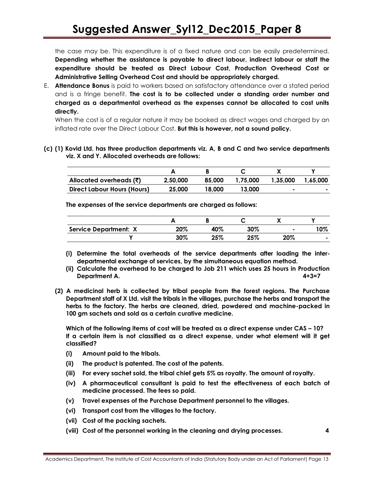the case may be. This expenditure is of a fixed nature and can be easily predetermined. **Depending whether the assistance is payable to direct labour, indirect labour or staff the expenditure should be treated as Direct Labour Cost, Production Overhead Cost or Administrative Selling Overhead Cost and should be appropriately charged.**

E. **Attendance Bonus** is paid to workers based on satisfactory attendance over a stated period and is a fringe benefit. **The cost is to be collected under a standing order number and charged as a departmental overhead as the expenses cannot be allocated to cost units directly.**

When the cost is of a regular nature it may be booked as direct wages and charged by an inflated rate over the Direct Labour Cost. **But this is however, not a sound policy.**

**(c) (1) Kovid Ltd. has three production departments viz. A, B and C and two service departments viz. X and Y. Allocated overheads are follows:**

| Allocated overheads $(\bar{\zeta})$ | 2.50.000 | 85.000 | 1,75,000 | 1.35.000 | 1.65.000                 |
|-------------------------------------|----------|--------|----------|----------|--------------------------|
| Direct Labour Hours (Hours)         | 25,000   | 18.000 | 13,000   |          | $\overline{\phantom{a}}$ |

**The expenses of the service departments are charged as follows:**

|                              |     |     |     | ,,  |     |
|------------------------------|-----|-----|-----|-----|-----|
| <b>Service Department: X</b> | 20% | 40% | 30% | ٠   | '0% |
|                              | 30% | 25% | 25% | 20% |     |

- **(i) Determine the total overheads of the service departments after loading the interdepartmental exchange of services, by the simultaneous equation method.**
- **(ii) Calculate the overhead to be charged to Job 211 which uses 25 hours in Production Department A. 4+3=7**
- **(2) A medicinal herb is collected by tribal people from the forest regions. The Purchase Department staff of X Ltd. visit the tribals in the villages, purchase the herbs and transport the herbs to the factory. The herbs are cleaned, dried, powdered and machine-packed in 100 gm sachets and sold as a certain curative medicine.**

**Which of the following items of cost will be treated as a direct expense under CAS – 10? If a certain item is not classified as a direct expense, under what element will it get classified?**

- **(i) Amount paid to the tribals.**
- **(ii) The product is patented. The cost of the patents.**
- **(iii) For every sachet sold, the tribal chief gets 5% as royalty. The amount of royalty.**
- **(iv) A pharmaceutical consultant is paid to test the effectiveness of each batch of medicine processed. The fees so paid.**
- **(v) Travel expenses of the Purchase Department personnel to the villages.**
- **(vi) Transport cost from the villages to the factory.**
- **(vii) Cost of the packing sachets.**
- **(viii) Cost of the personnel working in the cleaning and drying processes. 4**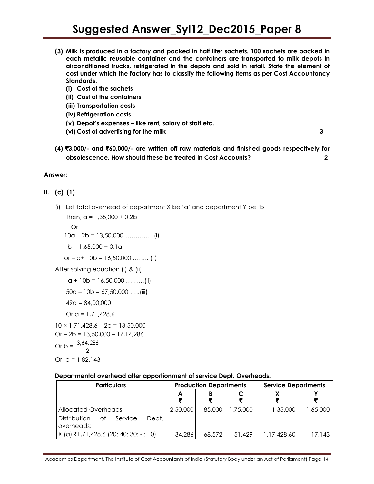- **(3) Milk is produced in a factory and packed in half liter sachets. 100 sachets are packed in each metallic reusable container and the containers are transported to milk depots in airconditioned trucks, refrigerated in the depots and sold in retail. State the element of cost under which the factory has to classify the following items as per Cost Accountancy Standards.**
	- **(i) Cost of the sachets**
	- **(ii) Cost of the containers**
	- **(iii) Transportation costs**
	- **(iv) Refrigeration costs**
	- **(v) Depot's expenses – like rent, salary of staff etc.**
	- **(vi) Cost of advertising for the milk 3**

**(4)** `**3,000/- and** `**60,000/- are written off raw materials and finished goods respectively for obsolescence. How should these be treated in Cost Accounts? 2**

#### **Answer:**

#### **II. (c) (1)**

(i) Let total overhead of department X be 'a' and department Y be 'b'

Then,  $a = 1,35,000 + 0.2b$  Or 10a – 2b = 13,50,000……………(i)  $b = 1.65,000 + 0.1a$ or –  $a+10b = 16,50,000$  …….. (ii)

After solving equation (i) & (ii)

```
-a + 10b = 16,50,000 ………(ii)
```
 $50a - 10b = 67,50,000 \dots (iii)$ 

$$
49a = 84,00,000
$$

Or 
$$
\alpha
$$
 = 1.71.428.6

 $10 \times 1,71,428.6 - 2b = 13,50,000$ 

 $Or - 2b = 13,50,000 - 17,14,286$  $3, 44, 286$ 

Or b = 
$$
\frac{3,64,28}{2}
$$

Or  $b = 1,82,143$ 

#### **Departmental overhead after apportionment of service Dept. Overheads.**

| <b>Particulars</b>                                   | <b>Production Departments</b> |        |         | <b>Service Departments</b> |           |
|------------------------------------------------------|-------------------------------|--------|---------|----------------------------|-----------|
|                                                      | A                             |        |         |                            |           |
| Allocated Overheads                                  | 2,50,000                      | 85,000 | ,75,000 | 1,35,000                   | 65,000, ا |
| Dept.<br>Distribution<br>Service<br>Οf<br>overheads: |                               |        |         |                            |           |
| $X$ (a) ₹1,71,428.6 (20: 40: 30: - : 10)             | 34,286                        | 68,572 | 51,429  | - 1,17,428.60              | 17,143    |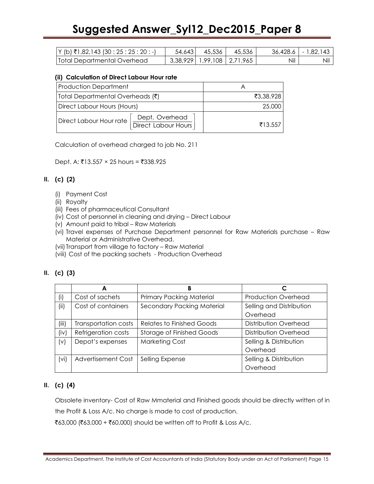| $ Y(h)$ ₹1,82,143 (30 : 25 : 25 : 20 : -) | 54,643 | 45,536                         | 45,536 | 36,428.6 | $1 - 1.82.143$ |
|-------------------------------------------|--------|--------------------------------|--------|----------|----------------|
| Total Departmental Overhead               |        | 3,38,929   1,99,108   2,71,965 |        | Nil      | Nil            |

#### **(ii) Calculation of Direct Labour Hour rate**

| <b>Production Department</b>                                       |           |
|--------------------------------------------------------------------|-----------|
| Total Departmental Overheads $(\bar{\zeta})$                       | ₹3,38,928 |
| Direct Labour Hours (Hours)                                        | 25,000    |
| Dept. Overhead<br>Direct Labour Hour rate<br>I Direct Labour Hours | ₹13.557   |

Calculation of overhead charged to job No. 211

Dept. A: ₹13.557  $\times$  25 hours = ₹338.925

#### **II. (c) (2)**

- (i) Payment Cost
- (ii) Royalty
- (iii) Fees of pharmaceutical Consultant
- (iv) Cost of personnel in cleaning and drying Direct Labour
- (v) Amount paid to tribal Raw Materials
- (vi) Travel expenses of Purchase Department personnel for Raw Materials purchase Raw Material or Administrative Overhead.
- (vii) Transport from village to factory Raw Material
- (viii) Cost of the packing sachets Production Overhead

#### **II. (c) (3)**

|       | A                         | B                                |                            |
|-------|---------------------------|----------------------------------|----------------------------|
| (i)   | Cost of sachets           | <b>Primary Packing Material</b>  | <b>Production Overhead</b> |
| (ii)  | Cost of containers        | Secondary Packing Material       | Selling and Distribution   |
|       |                           |                                  | Overhead                   |
| (iii) | Transportation costs      | <b>Relates to Finished Goods</b> | Distribution Overhead      |
| (iv)  | Refrigeration costs       | <b>Storage of Finished Goods</b> | Distribution Overhead      |
| (v)   | Depot's expenses          | <b>Marketing Cost</b>            | Selling & Distribution     |
|       |                           |                                  | Overhead                   |
| (vi)  | <b>Advertisement Cost</b> | Selling Expense                  | Selling & Distribution     |
|       |                           |                                  | Overhead                   |

#### **II. (c) (4)**

Obsolete inventory- Cost of Raw Mmaterial and Finished goods should be directly written of in the Profit & Loss A/c. No charge is made to cost of production.

₹63,000 (₹63,000 + ₹60,000) should be written off to Profit & Loss A/c.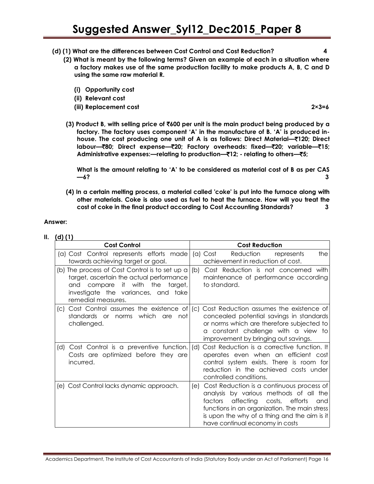- **(d) (1) What are the differences between Cost Control and Cost Reduction? 4**
	- **(2) What is meant by the following terms? Given an example of each in a situation where a factory makes use of the same production facility to make products A, B, C and D using the same raw material R.**
		- **(i) Opportunity cost**
		- **(ii) Relevant cost**
		- **(iii) Replacement cost 2×3=6**

**(3) Product B, with selling price of** `**600 per unit is the main product being produced by a factory. The factory uses component 'A' in the manufacture of B. 'A' is produced inhouse. The cost producing one unit of A is as follows: Direct Material—**`**120; Direct labour—**`**80; Direct expense—**`**20; Factory overheads: fixed—**`**20; variable—**`**15; Administrative expenses:—relating to production—**`**12; - relating to others—**`**5;**

**What is the amount relating to 'A' to be considered as material cost of B as per CAS —6? 3**

**(4) In a certain melting process, a material called 'coke' is put into the furnace along with other materials. Coke is also used as fuel to heat the furnace. How will you treat the cost of coke in the final product according to Cost Accounting Standards? 3**

#### **Answer:**

| I<br>II | O |  |
|---------|---|--|
|         |   |  |

| <b>Cost Control</b>                                                                                                                                                                              | <b>Cost Reduction</b>                                                                                                                                                                                                                                                           |
|--------------------------------------------------------------------------------------------------------------------------------------------------------------------------------------------------|---------------------------------------------------------------------------------------------------------------------------------------------------------------------------------------------------------------------------------------------------------------------------------|
| (a) Cost Control represents efforts made<br>towards achieving target or goal.                                                                                                                    | Reduction<br>(a) Cost<br>the<br>represents<br>achievement in reduction of cost.                                                                                                                                                                                                 |
| (b) The process of Cost Control is to set up a<br>target, ascertain the actual performance<br>compare it with the<br>target,<br>and<br>investigate the variances, and take<br>remedial measures. | Cost Reduction is not concerned with<br>(b)<br>maintenance of performance according<br>to standard.                                                                                                                                                                             |
| Cost Control assumes the existence of $(c)$<br>(C)<br>standards or norms which are not<br>challenged.                                                                                            | Cost Reduction assumes the existence of<br>concealed potential savings in standards<br>or norms which are therefore subjected to<br>a constant challenge with a view to<br>improvement by bringing out savings.                                                                 |
| Cost Control is a preventive function.<br>(d)<br>Costs are optimized before they are<br>incurred.                                                                                                | Cost Reduction is a corrective function. It<br>(d)<br>operates even when an efficient cost<br>control system exists. There is room for<br>reduction in the achieved costs under<br>controlled conditions.                                                                       |
| (e) Cost Control lacks dynamic approach.                                                                                                                                                         | Cost Reduction is a continuous process of<br>le)<br>analysis by various methods of all the<br>affecting costs,<br>efforts<br>factors<br>and<br>functions in an organization. The main stress<br>is upon the why of a thing and the aim is it<br>have continual economy in costs |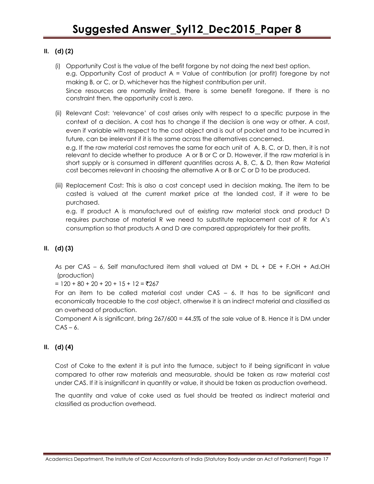### **II. (d) (2)**

- (i) Opportunity Cost is the value of the befit forgone by not doing the next best option. e.g. Opportunity Cost of product A = Value of contribution (or profit) foregone by not making B, or C, or D, whichever has the highest contribution per unit. Since resources are normally limited, there is some benefit foregone. If there is no constraint then, the opportunity cost is zero.
- (ii) Relevant Cost: 'relevance' of cost arises only with respect to a specific purpose in the context of a decision. A cost has to change if the decision is one way or other. A cost, even if variable with respect to the cost object and is out of pocket and to be incurred in future, can be irrelevant if it is the same across the alternatives concerned.

e.g. If the raw material cost removes the same for each unit of A, B, C, or D, then, it is not relevant to decide whether to produce A or B or C or D. However, if the raw material is in short supply or is consumed in different quantities across A, B, C, & D, then Raw Material cost becomes relevant in choosing the alternative A or B or C or D to be produced.

(iii) Replacement Cost: This is also a cost concept used in decision making. The item to be casted is valued at the current market price at the landed cost, if it were to be purchased.

e.g. If product A is manufactured out of existing raw material stock and product D requires purchase of material R we need to substitute replacement cost of R for A's consumption so that products A and D are compared appropriately for their profits.

#### **II. (d) (3)**

As per CAS – 6, Self manufactured item shall valued at DM + DL + DE + F.OH + Ad.OH (production)

 $= 120 + 80 + 20 + 20 + 15 + 12 = ₹267$ 

For an item to be called material cost under CAS – 6. It has to be significant and economically traceable to the cost object, otherwise it is an indirect material and classified as an overhead of production.

Component A is significant, bring 267/600 = 44.5% of the sale value of B. Hence it is DM under  $CAS - 6.$ 

#### **II. (d) (4)**

Cost of Coke to the extent it is put into the furnace, subject to if being significant in value compared to other raw materials and measurable, should be taken as raw material cost under CAS. If it is insignificant in quantity or value, it should be taken as production overhead.

The quantity and value of coke used as fuel should be treated as indirect material and classified as production overhead.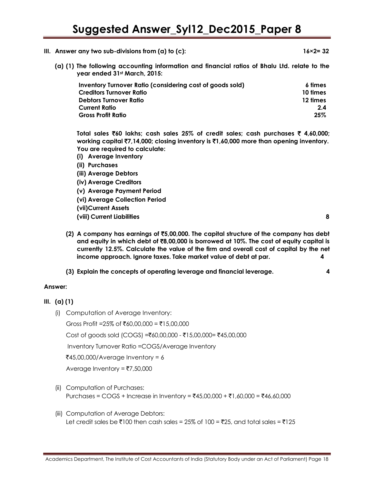- **III.** Answer any two sub-divisions from (a) to (c):  $16 \times 2 = 32$ 
	- **(a) (1) The following accounting information and financial ratios of Bhalu Ltd. relate to the year ended 31st March, 2015:**

| Inventory Turnover Ratio (considering cost of goods sold) | 6 times  |
|-----------------------------------------------------------|----------|
| Creditors Turnover Ratio                                  | 10 times |
| <b>Debtors Turnover Ratio</b>                             | 12 times |
| <b>Current Ratio</b>                                      | 2.4      |
| <b>Gross Profit Ratio</b>                                 | 25%      |

**Total sales** `**60 lakhs; cash sales 25% of credit sales; cash purchases** ` **4,60,000; working capital** `**7,14,000; closing inventory is** `**1,60,000 more than opening inventory. You are required to calculate:**

- **(i) Average Inventory**
- **(ii) Purchases**
- **(iii) Average Debtors**
- **(iv) Average Creditors**
- **(v) Average Payment Period**
- **(vi) Average Collection Period**
- **(vii)Current Assets**
- **(viii) Current Liabilities 8**
	-
- **(2) A company has earnings of** `**5,00,000. The capital structure of the company has debt and equity in which debt of** `**8,00,000 is borrowed at 10%. The cost of equity capital is currently 12.5%. Calculate the value of the firm and overall cost of capital by the net income approach. Ignore taxes. Take market value of debt at par. 4**
- **(3) Explain the concepts of operating leverage and financial leverage. 4**

#### **Answer:**

- **III. (a) (1)**
	- (i) Computation of Average Inventory:

Gross Profit =25% of ₹60,00,000 = ₹15,00,000

 $Cost of goods sold (COGS) = ₹60,00,000 - ₹15,00,000 = ₹45,00,000$ 

Inventory Turnover Ratio =COGS/Average Inventory

 $\text{\textsterling}45,00,000/A$ verage Inventory = 6

Average Inventory =  $7,50,000$ 

- (ii) Computation of Purchases: Purchases = COGS + Increase in Inventory = ₹45,00,000 + ₹1,60,000 = ₹46,60,000
- (iii) Computation of Average Debtors: Let credit sales be  $\bar{\mathfrak{e}}$ 100 then cash sales = 25% of 100 =  $\bar{\mathfrak{e}}$ 25, and total sales =  $\bar{\mathfrak{e}}$ 125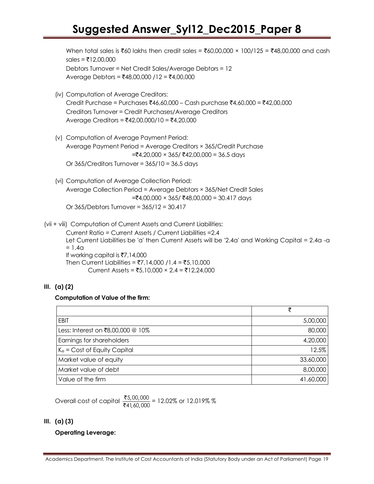When total sales is  $\bar{z}60$  lakhs then credit sales =  $\bar{z}60,00,000 \times 100/125 = \bar{z}48,00,000$  and cash  $s$ ales =  $\overline{5}$ 12,00,000 Debtors Turnover = Net Credit Sales/Average Debtors = 12 Average Debtors = ₹48,00,000 /12 = ₹4,00,000

- (iv) Computation of Average Creditors: Credit Purchase = Purchases ₹46,60,000 – Cash purchase ₹4,60,000 = ₹42,00,000 Creditors Turnover = Credit Purchases/Average Creditors Average Creditors =  $\text{\texttt{F42,00,000/10}} = \text{\texttt{F4,20,000}}$
- (v) Computation of Average Payment Period: Average Payment Period = Average Creditors × 365/Credit Purchase =`4,20,000 × 365/ `42,00,000 = 36.5 days Or  $365/C$ reditors Turnover =  $365/10 = 36.5$  days
- (vi) Computation of Average Collection Period: Average Collection Period = Average Debtors × 365/Net Credit Sales  $=\t\t\t\t\t\overline{\mathcal{F}}4,00,000 \times 365/\t\t\t\t\t\t\t\overline{\mathcal{F}}48,00,000 = 30.417 \text{ days}$ Or 365/Debtors Turnover = 365/12 = 30.417

(vii + viii) Computation of Current Assets and Current Liabilities:

Current Ratio = Current Assets / Current Liabilities =2.4 Let Current Liabilities be 'a' then Current Assets will be '2.4a' and Working Capital = 2.4a -a  $= 1.4a$ If working capital is  $\overline{57}$ , 14,000 Then Current Liabilities = ₹7,14,000 /1.4 = ₹5,10,000 Current Assets =  $\overline{5}5,10,000 \times 2.4 = \overline{5}12,24,000$ 

#### **III. (a) (2)**

#### **Computation of Value of the firm:**

|                                   | ₹         |
|-----------------------------------|-----------|
| <b>EBIT</b>                       | 5,00,000  |
| Less: Interest on ₹8,00,000 @ 10% | 80,000    |
| Earnings for shareholders         | 4,20,000  |
| $K_e$ = Cost of Equity Capital    | 12.5%     |
| Market value of equity            | 33,60,000 |
| Market value of debt              | 8,00,000  |
| Value of the firm                 | 41,60,000 |

Overall cost of capital  $\frac{3}{5}$ ₹ ,00, l,60, 5,00,000  $\frac{3,00,000}{41,60,000}$  = 12.02% or 12.019% %

#### **III. (a) (3)**

### **Operating Leverage:**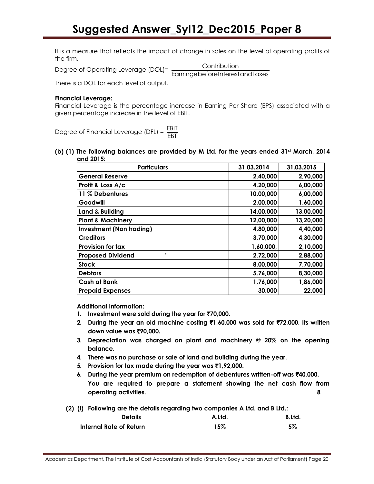It is a measure that reflects the impact of change in sales on the level of operating profits of the firm.

Degree of Operating Leverage (DOL)= <u>EarningebeforeInterestandTaxes</u>

**Contribution** 

There is a DOL for each level of output.

#### **Financial Leverage:**

Financial Leverage is the percentage increase in Earning Per Share (EPS) associated with a given percentage increase in the level of EBIT.

Degree of Financial Leverage (DFL) =  $\frac{\text{EBIT}}{\text{ESF}}$ EBT

**(b) (1) The following balances are provided by M Ltd. for the years ended 31st March, 2014 and 2015:**

| <b>Particulars</b>              | 31.03.2014 | 31.03.2015 |
|---------------------------------|------------|------------|
| <b>General Reserve</b>          | 2,40,000   | 2,90,000   |
| Profit & Loss A/c               | 4,20,000   | 6,00,000   |
| 11 % Debentures                 | 10,00,000  | 6,00,000   |
| Goodwill                        | 2,00,000   | 1,60,000   |
| Land & Building                 | 14,00,000  | 13,00,000  |
| <b>Plant &amp; Machinery</b>    | 12,00,000  | 13,20,000  |
| <b>Investment (Non trading)</b> | 4,80,000   | 4,40,000   |
| <b>Creditors</b>                | 3,70,000   | 4,30,000   |
| Provision for tax               | 1,60,000,  | 2,10,000   |
| ٠<br><b>Proposed Dividend</b>   | 2,72,000   | 2,88,000   |
| <b>Stock</b>                    | 8,00,000   | 7,70,000   |
| <b>Debtors</b>                  | 5,76,000   | 8,30,000   |
| <b>Cash at Bank</b>             | 1,76,000   | 1,86,000   |
| <b>Prepaid Expenses</b>         | 30,000     | 22,000     |

**Additional Information:**

- **1.** Investment were sold during the year for ₹70,000.
- **2. During the year an old machine costing** `**1,60,000 was sold for** `**72,000. Its written down value was** `**90,000.**
- **3. Depreciation was charged on plant and machinery @ 20% on the opening balance.**
- **4. There was no purchase or sale of land and building during the year.**
- **5. Provision for tax made during the year was** `**1,92,000.**
- **6. During the year premium on redemption of debentures written-off was** `**40,000. You are required to prepare a statement showing the net cash flow from operating activities. 8**

**(2) (i) Following are the details regarding two companies A Ltd. and B Ltd.:**

| <b>Details</b>          | A.Ltd. | B.Ltd. |
|-------------------------|--------|--------|
| Internal Rate of Return | $15\%$ | 5%     |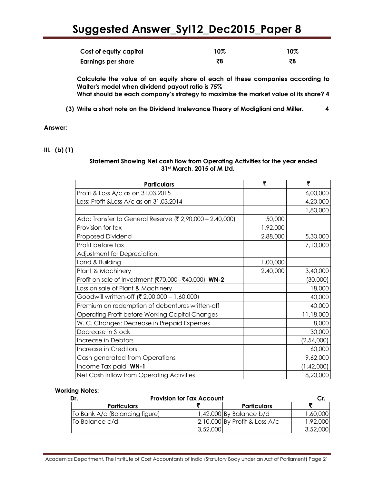| Cost of equity capital    | 10% | $10\%$ |
|---------------------------|-----|--------|
| <b>Earnings per share</b> | ₹8  | ₹8     |

**Calculate the value of an equity share of each of these companies according to Walter's model when dividend payout ratio is 75% What should be each company's strategy to maximize the market value of its share? 4**

**(3) Write a short note on the Dividend Irrelevance Theory of Modigliani and Miller. 4**

#### **Answer:**

#### **III. (b) (1)**

#### **Statement Showing Net cash flow from Operating Activities for the year ended 31st March, 2015 of M Ltd.**

| <b>Particulars</b>                                       | ₹        | ₹          |
|----------------------------------------------------------|----------|------------|
| Profit & Loss A/c as on 31.03.2015                       |          | 6,00,000   |
| Less: Profit & Loss A/c as on 31.03.2014                 |          | 4,20,000   |
|                                                          |          | 1,80,000   |
| Add: Transfer to General Reserve (₹ 2,90,000 - 2,40,000) | 50,000   |            |
| Provision for tax                                        | 1,92,000 |            |
| <b>Proposed Dividend</b>                                 | 2,88,000 | 5,30,000   |
| Profit before tax                                        |          | 7,10,000   |
| Adjustment for Depreciation:                             |          |            |
| Land & Building                                          | 1,00,000 |            |
| Plant & Machinery                                        | 2,40,000 | 3,40,000   |
| Profit on sale of Investment (₹70,000 - ₹40,000) WN-2    |          | (30,000)   |
| Loss on sale of Plant & Machinery                        |          | 18,000     |
| Goodwill written-off (₹ 2,00,000 - 1,60,000)             |          | 40,000     |
| Premium on redemption of debentures written-off          |          | 40,000     |
| <b>Operating Profit before Working Capital Changes</b>   |          | 11,18,000  |
| W. C. Changes: Decrease in Prepaid Expenses              |          | 8,000      |
| Decrease in Stock                                        |          | 30,000     |
| Increase in Debtors                                      |          | (2,54,000) |
| Increase in Creditors                                    |          | 60,000     |
| Cash generated from Operations                           |          | 9,62,000   |
| Income Tax paid WN-1                                     |          | (1,42,000) |
| Net Cash Inflow from Operating Activities                |          | 8,20,000   |

#### **Working Notes:**

| Dr.                            | <b>Provision for Tax Account</b> |                                 |          |
|--------------------------------|----------------------------------|---------------------------------|----------|
| <b>Particulars</b>             |                                  | <b>Particulars</b>              |          |
| To Bank A/c (Balancing figure) |                                  | $1,42,000$ By Balance b/d       | 60,000,  |
| To Balance c/d                 |                                  | $2,10,000$ By Profit & Loss A/c | ,92,000  |
|                                | 3,52,000                         |                                 | 3,52,000 |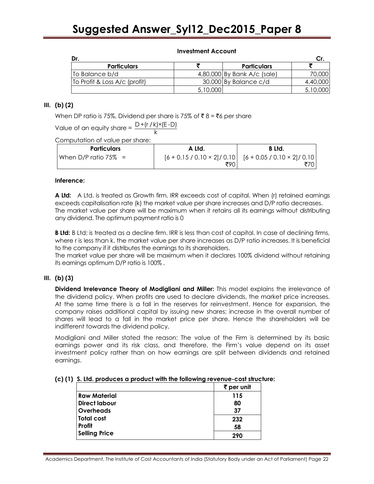| Dr.                           |          |                             |          |
|-------------------------------|----------|-----------------------------|----------|
| <b>Particulars</b>            |          | <b>Particulars</b>          |          |
| To Balance b/d                |          | 4,80,000 By Bank A/c (sale) | 70,000   |
| To Profit & Loss A/c (profit) |          | 30,000 By Balance c/d       | 4,40,000 |
|                               | 5,10,000 |                             | 5,10,000 |

#### **III. (b) (2)**

When DP ratio is 75%, Dividend per share is 75% of  $\bar{\tau}$  8 =  $\bar{\tau}$ 6 per share

Value of an equity share =  $\frac{D + (r / k) \times (E - D)}{h}$ k

Computation of value per share:

| <b>Particulars</b>      | A Ltd. | B Ltd.                                                                        |
|-------------------------|--------|-------------------------------------------------------------------------------|
| When D/P ratio $75\%$ = | ₹90    | $[6 + 0.15 / 0.10 \times 2]/ 0.10$ $[6 + 0.05 / 0.10 \times 2]/ 0.10$<br>₹70∣ |

#### **Inference:**

**A Ltd:** A Ltd. is treated as Growth firm. IRR exceeds cost of capital. When (r) retained earnings exceeds capitalisation rate (k) the market value per share increases and D/P ratio decreases. The market value per share will be maximum when it retains all its earnings without distributing any dividend. The optimum payment ratio is 0

**B Ltd:** B Ltd; is treated as a decline firm. IRR is less than cost of capital. In case of declining firms, where r is less than k, the market value per share increases as D/P ratio increases. It is beneficial to the company if it distributes the earnings to its shareholders.

The market value per share will be maximum when it declares 100% dividend without retaining its earnings optimum D/P ratio is 100% .

#### **III. (b) (3)**

**Dividend Irrelevance Theory of Modigliani and Miller:** This model explains the irrelevance of the dividend policy. When profits are used to declare dividends, the market price increases. At the same time there is a fall in the reserves for reinvestment. Hence for expansion, the company raises additional capital by issuing new shares; increase in the overall number of shares will lead to a fall in the market price per share. Hence the shareholders will be indifferent towards the dividend policy.

Modigliani and Miller stated the reason: The value of the Firm is determined by its basic earnings power and its risk class, and therefore, the Firm's value depend on its asset investment policy rather than on how earnings are split between dividends and retained earnings.

#### **(c) (1) S. Ltd. produces a product with the following revenue-cost structure:**

|                      | $\bar{\tau}$ per unit |
|----------------------|-----------------------|
| <b>Raw Material</b>  | 115                   |
| <b>Direct labour</b> | 80                    |
| <b>Overheads</b>     | 37                    |
| Total cost           | 232                   |
| <b>Profit</b>        | 58                    |
| <b>Selling Price</b> | 290                   |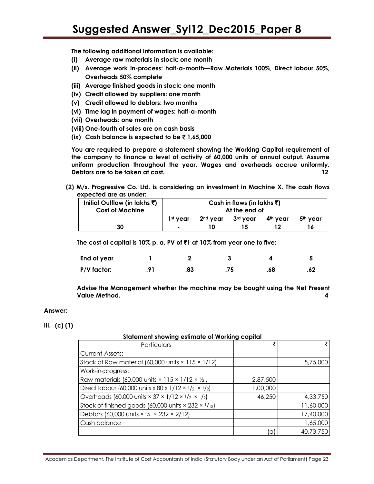**The following additional information is available:**

- **(i) Average raw materials in stock: one month**
- **(ii) Average work in-process: half-a-month—Raw Materials 100%, Direct labour 50%, Overheads 50% complete**
- **(iii) Average finished goods in stock: one month**
- **(iv) Credit allowed by suppliers: one month**
- **(v) Credit allowed to debtors: two months**
- **(vi) Time lag in payment of wages: half-a-month**
- **(vii) Overheads: one month**
- **(viii) One-fourth of sales are on cash basis**
- **(ix)** Cash balance is expected to be  $\bar{\tau}$  1,65,000

**You are required to prepare a statement showing the Working Capital requirement of the company to finance a level of activity of 60,000 units of annual output. Assume uniform production throughout the year. Wages and overheads accrue uniformly. Debtors are to be taken at cost. 12**

**(2) M/s. Progressive Co. Ltd. is considering an investment in Machine X. The cash flows expected are as under:**

| Initial Outflow (in lakhs $\bar{x}$ ) | Cash in flows (in lakhs ₹) |                      |          |                      |                      |
|---------------------------------------|----------------------------|----------------------|----------|----------------------|----------------------|
| <b>Cost of Machine</b>                | At the end of              |                      |          |                      |                      |
|                                       | 1 <sup>st</sup> vear       | 2 <sup>nd</sup> vear | 3rd vear | 4 <sup>th</sup> vear | 5 <sup>th</sup> vear |
| 30                                    | $\overline{\phantom{a}}$   | 10                   |          |                      |                      |

**The cost of capital is 10% p. a. PV of** `**1 at 10% from year one to five:**

| End of year |                |     |     |     |     |
|-------------|----------------|-----|-----|-----|-----|
| P/V factor: | $\mathbf{Q}$ 1 | .83 | .75 | .68 | .62 |

**Advise the Management whether the machine may be bought using the Net Present Value Method. 4**

#### **Answer:**

#### **III. (c) (1)**

#### **Statement showing estimate of Working capital**

| Particulars                                                                                           | ₹        |           |
|-------------------------------------------------------------------------------------------------------|----------|-----------|
| <b>Current Assets:</b>                                                                                |          |           |
| Stock of Raw material (60,000 units $\times$ 115 $\times$ 1/12)                                       |          | 5,75,000  |
| Work-in-progress:                                                                                     |          |           |
| Raw materials (60,000 units $\times$ 115 $\times$ 1/12 $\times$ 1/2)                                  | 2,87,500 |           |
| Direct labour (60,000 units x 80 x 1/12 $\times$ 1/2 $\times$ 1/2)                                    | 1,00,000 |           |
| Overheads (60,000 units $\times$ 37 $\times$ 1/12 $\times$ 1/ <sub>2</sub> $\times$ 1/ <sub>2</sub> ) | 46,250   | 4,33,750  |
| Stock of finished goods (60,000 units $\times$ 232 $\times$ 1/12)                                     |          | 11,60,000 |
| Debtors (60,000 units $\times$ 3/4 $\times$ 232 $\times$ 2/12)                                        |          | 17,40,000 |
| Cash balance                                                                                          |          | 1,65,000  |
|                                                                                                       | a        | 40,73,750 |